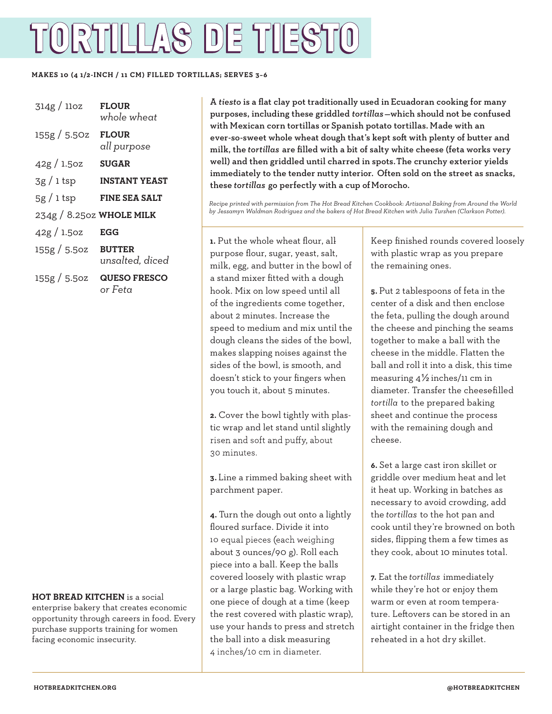## TORTILLAS DE TIESTO

## **MAKES 10 (4 1/2-INCH / 11 CM) FILLED TORTILLAS; SERVES 3–6**

| 314g / 11oz              | <b>FLOUR</b><br>whole wheat      |
|--------------------------|----------------------------------|
| 155g / 5.50z             | <b>FLOUR</b><br>all purpose      |
| 42g/1.5oz                | <b>SUGAR</b>                     |
| $3g/1$ tsp               | <b>INSTANT YEAST</b>             |
| $5g/1$ tsp               | <b>FINE SEA SALT</b>             |
| $234g/8.25oz$ WHOLE MILK |                                  |
| 42g/1.5oz                | EGG                              |
| 155g/5.5oz               | <b>BUTTER</b><br>unsalted, diced |
| 155g / 5.5oz             | <b>QUESO FRESCO</b><br>or Feta   |

**HOT BREAD KITCHEN** is a social enterprise bakery that creates economic opportunity through careers in food. Every purchase supports training for women facing economic insecurity.

A *tiesto* is a flat clay pot traditionally used in Ecuadoran cooking for many purposes, including these griddled *tortillas*—which should not be confused with Mexican corn tortillas or Spanish potato tortillas. Made with an ever-so-sweet whole wheat dough that's kept soft with plenty of butter and milk, the *tortillas* are filled with a bit of salty white cheese (feta works very well) and then griddled until charred in spots. The crunchy exterior yields immediately to the tender nutty interior. Often sold on the street as snacks, these *tortillas* go perfectly with a cup of Morocho.

*Recipe printed with permission from The Hot Bread Kitchen Cookbook: Artisanal Baking from Around the World by Jessamyn Waldman Rodriguez and the bakers of Hot Bread Kitchen with Julia Turshen (Clarkson Potter).*

**1.** Put the whole wheat flour, allpurpose flour, sugar, yeast, salt, milk, egg, and butter in the bowl of a stand mixer fitted with a dough hook. Mix on low speed until all of the ingredients come together, about 2 minutes. Increase the speed to medium and mix until the dough cleans the sides of the bowl, makes slapping noises against the sides of the bowl, is smooth, and doesn't stick to your fingers when you touch it, about 5 minutes.

**2.** Cover the bowl tightly with plastic wrap and let stand until slightly risen and soft and puffy, about 30 minutes.

**3.** Line a rimmed baking sheet with parchment paper.

**4.** Turn the dough out onto a lightly floured surface. Divide it into 10 equal pieces (each weighing about 3 ounces/90 g). Roll each piece into a ball. Keep the balls covered loosely with plastic wrap or a large plastic bag. Working with one piece of dough at a time (keep the rest covered with plastic wrap), use your hands to press and stretch the ball into a disk measuring 4 inches/10 cm in diameter.

Keep finished rounds covered loosely with plastic wrap as you prepare the remaining ones.

**5.** Put 2 tablespoons of feta in the center of a disk and then enclose the feta, pulling the dough around the cheese and pinching the seams together to make a ball with the cheese in the middle. Flatten the ball and roll it into a disk, this time measuring 4½ inches/11 cm in diameter. Transfer the cheesefilled *tortilla* to the prepared baking sheet and continue the process with the remaining dough and cheese.

**6.** Set a large cast iron skillet or griddle over medium heat and let it heat up. Working in batches as necessary to avoid crowding, add the *tortillas* to the hot pan and cook until they're browned on both sides, flipping them a few times as they cook, about 10 minutes total.

**7.** Eat the *tortillas* immediately while they're hot or enjoy them warm or even at room temperature. Leftovers can be stored in an airtight container in the fridge then reheated in a hot dry skillet.